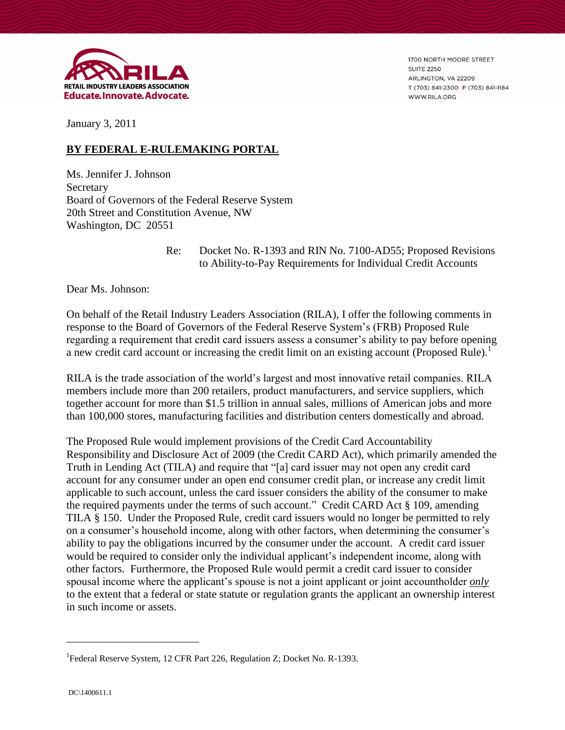

1700 NORTH MOORE STREET **SUITE 2250** ARLINGTON, VA 22209 T (703) 841-2300 F (703) 841-1184 WWW.RILA.ORG

January 3, 2011

# **BY FEDERAL E-RULEMAKING PORTAL**

Ms. Jennifer J. Johnson Secretary Board of Governors of the Federal Reserve System 20th Street and Constitution Avenue, NW Washington, DC 20551

### Re: Docket No. R-1393 and RIN No. 7100-AD55; Proposed Revisions to Ability-to-Pay Requirements for Individual Credit Accounts

Dear Ms. Johnson:

On behalf of the Retail Industry Leaders Association (RILA), I offer the following comments in response to the Board of Governors of the Federal Reserve System's (FRB) Proposed Rule regarding a requirement that credit card issuers assess a consumer's ability to pay before opening a new credit card account or increasing the credit limit on an existing account (Proposed Rule).<sup>1</sup>

RILA is the trade association of the world's largest and most innovative retail companies. RILA members include more than 200 retailers, product manufacturers, and service suppliers, which together account for more than \$1.5 trillion in annual sales, millions of American jobs and more than 100,000 stores, manufacturing facilities and distribution centers domestically and abroad.

The Proposed Rule would implement provisions of the Credit Card Accountability Responsibility and Disclosure Act of 2009 (the Credit CARD Act), which primarily amended the Truth in Lending Act (TILA) and require that "[a] card issuer may not open any credit card account for any consumer under an open end consumer credit plan, or increase any credit limit applicable to such account, unless the card issuer considers the ability of the consumer to make the required payments under the terms of such account." Credit CARD Act § 109, amending TILA § 150. Under the Proposed Rule, credit card issuers would no longer be permitted to rely on a consumer's household income, along with other factors, when determining the consumer's ability to pay the obligations incurred by the consumer under the account. A credit card issuer would be required to consider only the individual applicant's independent income, along with other factors. Furthermore, the Proposed Rule would permit a credit card issuer to consider spousal income where the applicant's spouse is not a joint applicant or joint accountholder *only* to the extent that a federal or state statute or regulation grants the applicant an ownership interest in such income or assets.

 $\overline{a}$ 

<sup>&</sup>lt;sup>1</sup> Federal Reserve System, 12 CFR Part 226, Regulation Z; Docket No. R-1393.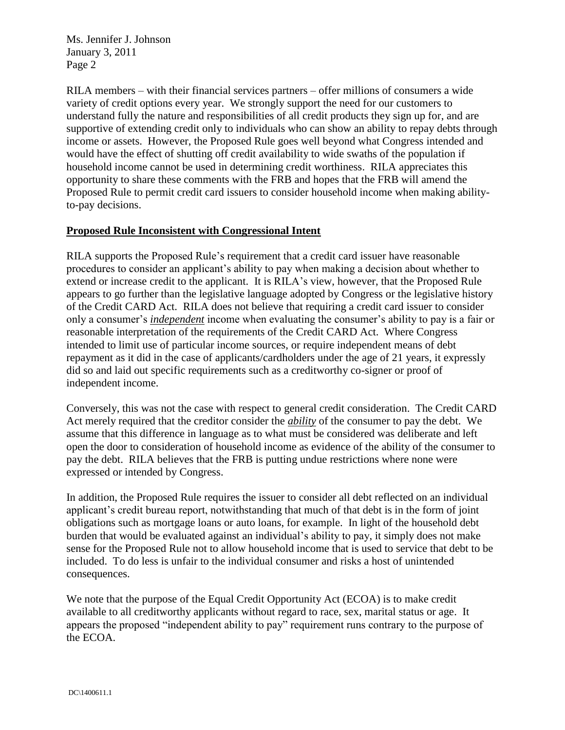RILA members – with their financial services partners – offer millions of consumers a wide variety of credit options every year. We strongly support the need for our customers to understand fully the nature and responsibilities of all credit products they sign up for, and are supportive of extending credit only to individuals who can show an ability to repay debts through income or assets. However, the Proposed Rule goes well beyond what Congress intended and would have the effect of shutting off credit availability to wide swaths of the population if household income cannot be used in determining credit worthiness. RILA appreciates this opportunity to share these comments with the FRB and hopes that the FRB will amend the Proposed Rule to permit credit card issuers to consider household income when making abilityto-pay decisions.

## **Proposed Rule Inconsistent with Congressional Intent**

RILA supports the Proposed Rule's requirement that a credit card issuer have reasonable procedures to consider an applicant's ability to pay when making a decision about whether to extend or increase credit to the applicant. It is RILA's view, however, that the Proposed Rule appears to go further than the legislative language adopted by Congress or the legislative history of the Credit CARD Act. RILA does not believe that requiring a credit card issuer to consider only a consumer's *independent* income when evaluating the consumer's ability to pay is a fair or reasonable interpretation of the requirements of the Credit CARD Act. Where Congress intended to limit use of particular income sources, or require independent means of debt repayment as it did in the case of applicants/cardholders under the age of 21 years, it expressly did so and laid out specific requirements such as a creditworthy co-signer or proof of independent income.

Conversely, this was not the case with respect to general credit consideration. The Credit CARD Act merely required that the creditor consider the *ability* of the consumer to pay the debt. We assume that this difference in language as to what must be considered was deliberate and left open the door to consideration of household income as evidence of the ability of the consumer to pay the debt. RILA believes that the FRB is putting undue restrictions where none were expressed or intended by Congress.

In addition, the Proposed Rule requires the issuer to consider all debt reflected on an individual applicant's credit bureau report, notwithstanding that much of that debt is in the form of joint obligations such as mortgage loans or auto loans, for example. In light of the household debt burden that would be evaluated against an individual's ability to pay, it simply does not make sense for the Proposed Rule not to allow household income that is used to service that debt to be included. To do less is unfair to the individual consumer and risks a host of unintended consequences.

We note that the purpose of the Equal Credit Opportunity Act (ECOA) is to make credit available to all creditworthy applicants without regard to race, sex, marital status or age. It appears the proposed "independent ability to pay" requirement runs contrary to the purpose of the ECOA.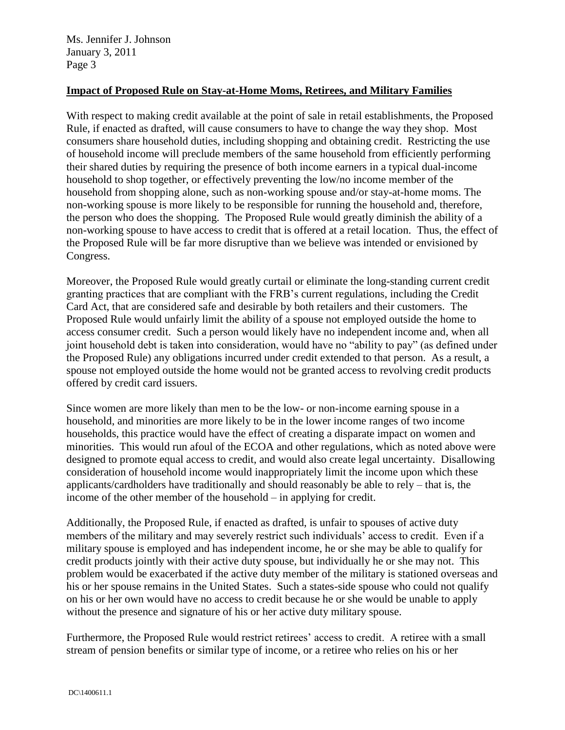### **Impact of Proposed Rule on Stay-at-Home Moms, Retirees, and Military Families**

With respect to making credit available at the point of sale in retail establishments, the Proposed Rule, if enacted as drafted, will cause consumers to have to change the way they shop. Most consumers share household duties, including shopping and obtaining credit. Restricting the use of household income will preclude members of the same household from efficiently performing their shared duties by requiring the presence of both income earners in a typical dual-income household to shop together, or effectively preventing the low/no income member of the household from shopping alone, such as non-working spouse and/or stay-at-home moms. The non-working spouse is more likely to be responsible for running the household and, therefore, the person who does the shopping. The Proposed Rule would greatly diminish the ability of a non-working spouse to have access to credit that is offered at a retail location. Thus, the effect of the Proposed Rule will be far more disruptive than we believe was intended or envisioned by Congress.

Moreover, the Proposed Rule would greatly curtail or eliminate the long-standing current credit granting practices that are compliant with the FRB's current regulations, including the Credit Card Act, that are considered safe and desirable by both retailers and their customers. The Proposed Rule would unfairly limit the ability of a spouse not employed outside the home to access consumer credit. Such a person would likely have no independent income and, when all joint household debt is taken into consideration, would have no "ability to pay" (as defined under the Proposed Rule) any obligations incurred under credit extended to that person. As a result, a spouse not employed outside the home would not be granted access to revolving credit products offered by credit card issuers.

Since women are more likely than men to be the low- or non-income earning spouse in a household, and minorities are more likely to be in the lower income ranges of two income households, this practice would have the effect of creating a disparate impact on women and minorities. This would run afoul of the ECOA and other regulations, which as noted above were designed to promote equal access to credit, and would also create legal uncertainty. Disallowing consideration of household income would inappropriately limit the income upon which these applicants/cardholders have traditionally and should reasonably be able to rely – that is, the income of the other member of the household – in applying for credit.

Additionally, the Proposed Rule, if enacted as drafted, is unfair to spouses of active duty members of the military and may severely restrict such individuals' access to credit. Even if a military spouse is employed and has independent income, he or she may be able to qualify for credit products jointly with their active duty spouse, but individually he or she may not. This problem would be exacerbated if the active duty member of the military is stationed overseas and his or her spouse remains in the United States. Such a states-side spouse who could not qualify on his or her own would have no access to credit because he or she would be unable to apply without the presence and signature of his or her active duty military spouse.

Furthermore, the Proposed Rule would restrict retirees' access to credit. A retiree with a small stream of pension benefits or similar type of income, or a retiree who relies on his or her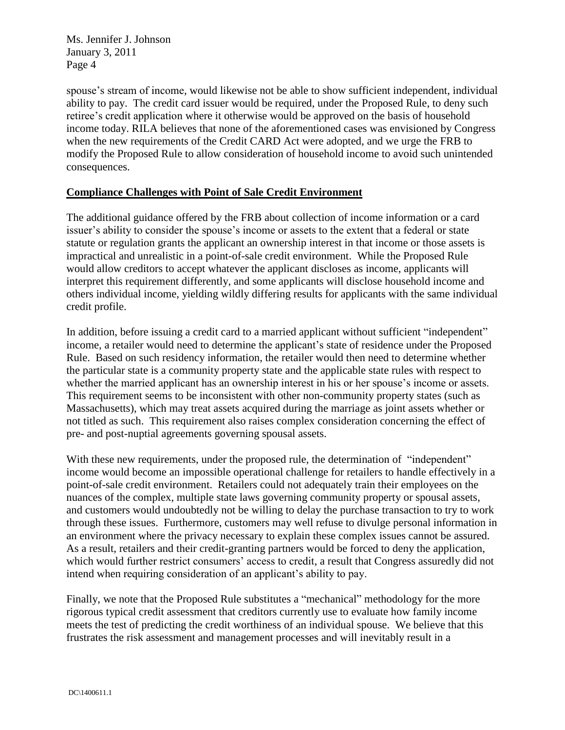spouse's stream of income, would likewise not be able to show sufficient independent, individual ability to pay. The credit card issuer would be required, under the Proposed Rule, to deny such retiree's credit application where it otherwise would be approved on the basis of household income today. RILA believes that none of the aforementioned cases was envisioned by Congress when the new requirements of the Credit CARD Act were adopted, and we urge the FRB to modify the Proposed Rule to allow consideration of household income to avoid such unintended consequences.

## **Compliance Challenges with Point of Sale Credit Environment**

The additional guidance offered by the FRB about collection of income information or a card issuer's ability to consider the spouse's income or assets to the extent that a federal or state statute or regulation grants the applicant an ownership interest in that income or those assets is impractical and unrealistic in a point-of-sale credit environment. While the Proposed Rule would allow creditors to accept whatever the applicant discloses as income, applicants will interpret this requirement differently, and some applicants will disclose household income and others individual income, yielding wildly differing results for applicants with the same individual credit profile.

In addition, before issuing a credit card to a married applicant without sufficient "independent" income, a retailer would need to determine the applicant's state of residence under the Proposed Rule. Based on such residency information, the retailer would then need to determine whether the particular state is a community property state and the applicable state rules with respect to whether the married applicant has an ownership interest in his or her spouse's income or assets. This requirement seems to be inconsistent with other non-community property states (such as Massachusetts), which may treat assets acquired during the marriage as joint assets whether or not titled as such. This requirement also raises complex consideration concerning the effect of pre- and post-nuptial agreements governing spousal assets.

With these new requirements, under the proposed rule, the determination of "independent" income would become an impossible operational challenge for retailers to handle effectively in a point-of-sale credit environment. Retailers could not adequately train their employees on the nuances of the complex, multiple state laws governing community property or spousal assets, and customers would undoubtedly not be willing to delay the purchase transaction to try to work through these issues. Furthermore, customers may well refuse to divulge personal information in an environment where the privacy necessary to explain these complex issues cannot be assured. As a result, retailers and their credit-granting partners would be forced to deny the application, which would further restrict consumers' access to credit, a result that Congress assuredly did not intend when requiring consideration of an applicant's ability to pay.

Finally, we note that the Proposed Rule substitutes a "mechanical" methodology for the more rigorous typical credit assessment that creditors currently use to evaluate how family income meets the test of predicting the credit worthiness of an individual spouse. We believe that this frustrates the risk assessment and management processes and will inevitably result in a